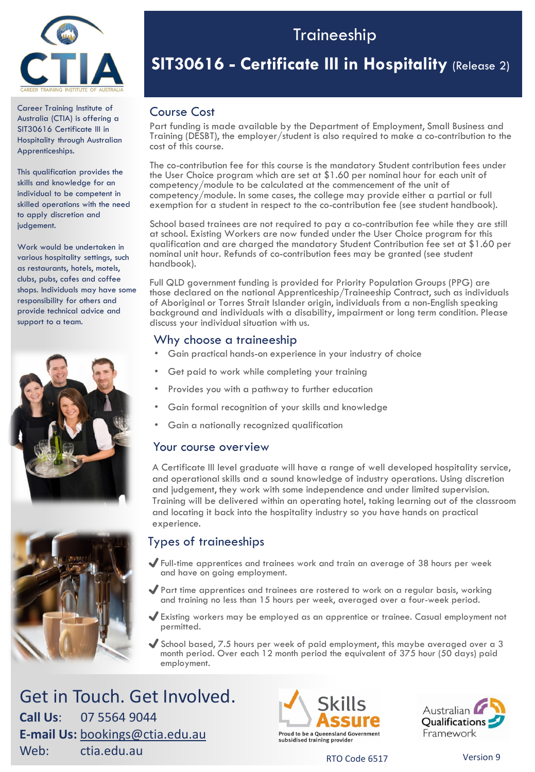

Career Training Institute of Australia (CTIA) is offering a SIT30616 Certificate III in Hospitality through Australian Apprenticeships.

This qualification provides the skills and knowledge for an individual to be competent in skilled operations with the need to apply discretion and judgement.

Work would be undertaken in various hospitality settings, such as restaurants, hotels, motels, clubs, pubs, cafes and coffee shops. Individuals may have some responsibility for others and provide technical advice and support to a team.





## Traineeship

## **SIT30616 - Certificate III in Hospitality** (Release 2)

### Course Cost

Part funding is made available by the Department of Employment, Small Business and Training (DESBT), the employer/student is also required to make a co-contribution to the cost of this course.

The co-contribution fee for this course is the mandatory Student contribution fees under the User Choice program which are set at \$1.60 per nominal hour for each unit of competency/module to be calculated at the commencement of the unit of competency/module. In some cases, the college may provide either a partial or full exemption for a student in respect to the co-contribution fee (see student handbook).

School based trainees are not required to pay a co-contribution fee while they are still at school. Existing Workers are now funded under the User Choice program for this qualification and are charged the mandatory Student Contribution fee set at \$1.60 per nominal unit hour. Refunds of co-contribution fees may be granted (see student handbook).

Full QLD government funding is provided for Priority Population Groups (PPG) are those declared on the national Apprenticeship/Traineeship Contract, such as individuals of Aboriginal or Torres Strait Islander origin, individuals from a non-English speaking background and individuals with a disability, impairment or long term condition. Please discuss your individual situation with us.

### Why choose a traineeship

- Gain practical hands-on experience in your industry of choice
- Get paid to work while completing your training
- Provides you with a pathway to further education
- Gain formal recognition of your skills and knowledge
- Gain a nationally recognized qualification

### Your course overview

A Certificate III level graduate will have a range of well developed hospitality service, and operational skills and a sound knowledge of industry operations. Using discretion and judgement, they work with some independence and under limited supervision. Training will be delivered within an operating hotel, taking learning out of the classroom and locating it back into the hospitality industry so you have hands on practical experience.

## Types of traineeships

- ✔Full-time apprentices and trainees work and train an average of 38 hours per week and have on going employment.
- ✔Part time apprentices and trainees are rostered to work on a regular basis, working and training no less than 15 hours per week, averaged over a four-week period.
- ✔Existing workers may be employed as an apprentice or trainee. Casual employment not permitted.
- $\blacktriangledown$  School based, 7.5 hours per week of paid employment, this maybe averaged over a 3 month period. Over each 12 month period the equivalent of 375 hour (50 days) paid employment.

Get in Touch. Get Involved. **Call Us**: 07 5564 9044 **E-mail Us:** [bookings@ctia.edu.au](mailto:bookings@ctia.edu.au) **Meb:** ctia.edu.au RTO Code 6517 Version 9